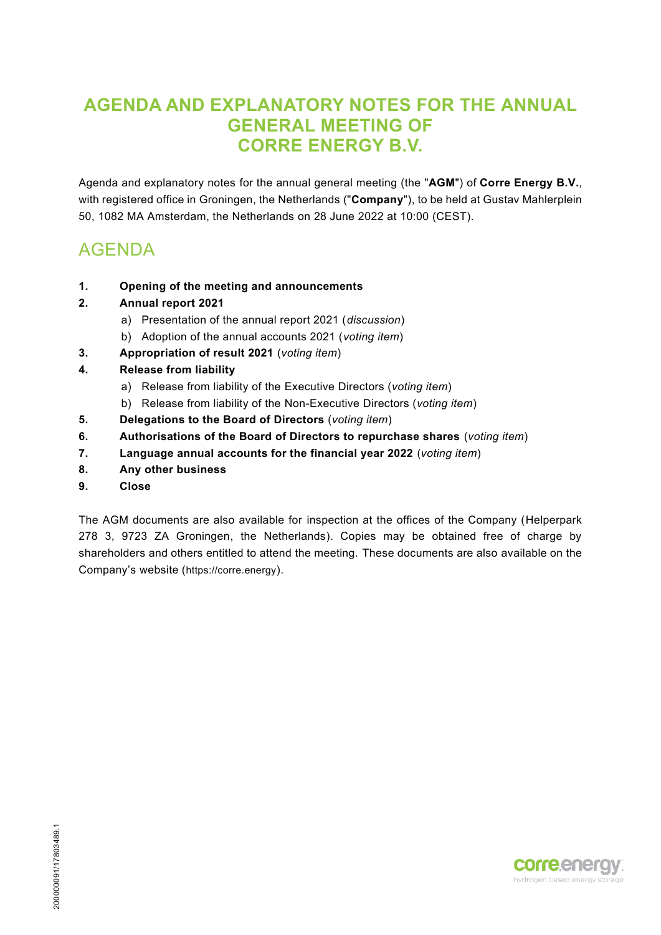## **AGENDA AND EXPLANATORY NOTES FOR THE ANNUAL GENERAL MEETING OF CORRE ENERGY B.V.**

Agenda and explanatory notes for the annual general meeting (the "**AGM**") of **Corre Energy B.V.**, with registered office in Groningen, the Netherlands ("**Company**"), to be held at Gustav Mahlerplein 50, 1082 MA Amsterdam, the Netherlands on 28 June 2022 at 10:00 (CEST).

# AGENDA

- **1. Opening of the meeting and announcements**
- **2. Annual report 2021**
	- a) Presentation of the annual report 2021 (*discussion*)
	- b) Adoption of the annual accounts 2021 (*voting item*)
- **3. Appropriation of result 2021** (*voting item*)
- **4. Release from liability**
	- a) Release from liability of the Executive Directors (*voting item*)
	- b) Release from liability of the Non-Executive Directors (*voting item*)
- **5. Delegations to the Board of Directors** (*voting item*)
- **6. Authorisations of the Board of Directors to repurchase shares** (*voting item*)
- **7. Language annual accounts for the financial year 2022** (*voting item*)
- **8. Any other business**
- **9. Close**

The AGM documents are also available for inspection at the offices of the Company (Helperpark 278 3, 9723 ZA Groningen, the Netherlands). Copies may be obtained free of charge by shareholders and others entitled to attend the meeting. These documents are also available on the Company's website (https://corre.energy).

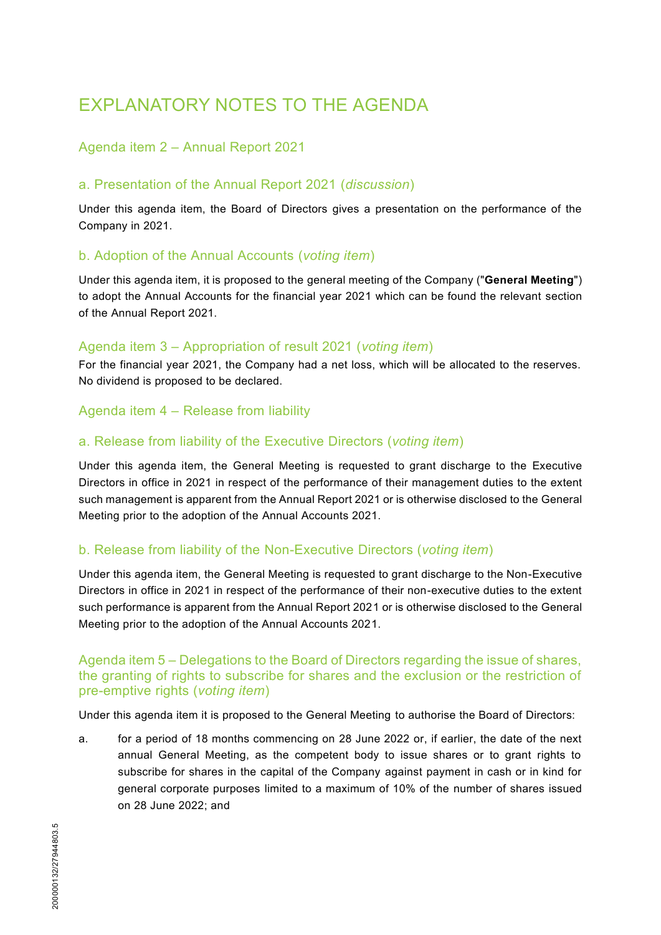# EXPLANATORY NOTES TO THE AGENDA

### Agenda item 2 – Annual Report 2021

#### a. Presentation of the Annual Report 2021 (*discussion*)

Under this agenda item, the Board of Directors gives a presentation on the performance of the Company in 2021.

#### b. Adoption of the Annual Accounts (*voting item*)

Under this agenda item, it is proposed to the general meeting of the Company ("**General Meeting**") to adopt the Annual Accounts for the financial year 2021 which can be found the relevant section of the Annual Report 2021.

#### Agenda item 3 – Appropriation of result 2021 (*voting item*)

For the financial year 2021, the Company had a net loss, which will be allocated to the reserves. No dividend is proposed to be declared.

#### Agenda item 4 – Release from liability

#### a. Release from liability of the Executive Directors (*voting item*)

Under this agenda item, the General Meeting is requested to grant discharge to the Executive Directors in office in 2021 in respect of the performance of their management duties to the extent such management is apparent from the Annual Report 2021 or is otherwise disclosed to the General Meeting prior to the adoption of the Annual Accounts 2021.

#### b. Release from liability of the Non-Executive Directors (*voting item*)

Under this agenda item, the General Meeting is requested to grant discharge to the Non-Executive Directors in office in 2021 in respect of the performance of their non-executive duties to the extent such performance is apparent from the Annual Report 2021 or is otherwise disclosed to the General Meeting prior to the adoption of the Annual Accounts 2021.

#### Agenda item 5 – Delegations to the Board of Directors regarding the issue of shares, the granting of rights to subscribe for shares and the exclusion or the restriction of pre-emptive rights (*voting item*)

Under this agenda item it is proposed to the General Meeting to authorise the Board of Directors:

a. for a period of 18 months commencing on 28 June 2022 or, if earlier, the date of the next annual General Meeting, as the competent body to issue shares or to grant rights to subscribe for shares in the capital of the Company against payment in cash or in kind for general corporate purposes limited to a maximum of 10% of the number of shares issued on 28 June 2022; and